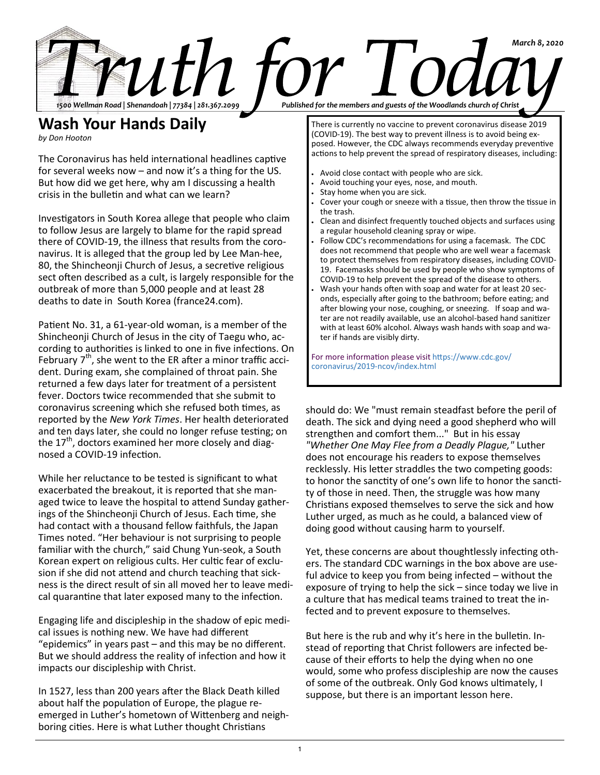

## **Wash Your Hands Daily**

*by Don Hooton*

The Coronavirus has held international headlines captive for several weeks now – and now it's a thing for the US. But how did we get here, why am I discussing a health crisis in the bulletin and what can we learn?

Investigators in South Korea allege that people who claim to follow Jesus are largely to blame for the rapid spread there of COVID-19, the illness that results from the coronavirus. It is alleged that the group led by Lee Man-hee, 80, the Shincheonji Church of Jesus, a secretive religious sect often described as a cult, is largely responsible for the outbreak of more than 5,000 people and at least 28 deaths to date in South Korea (france24.com).

Patient No. 31, a 61-year-old woman, is a member of the Shincheonji Church of Jesus in the city of Taegu who, according to authorities is linked to one in five infections. On February  $7<sup>th</sup>$ , she went to the ER after a minor traffic accident. During exam, she complained of throat pain. She returned a few days later for treatment of a persistent fever. Doctors twice recommended that she submit to coronavirus screening which she refused both times, as reported by the *New York Times*. Her health deteriorated and ten days later, she could no longer refuse testing; on the  $17<sup>th</sup>$ , doctors examined her more closely and diagnosed a COVID-19 infection.

While her reluctance to be tested is significant to what exacerbated the breakout, it is reported that she managed twice to leave the hospital to attend Sunday gatherings of the Shincheonji Church of Jesus. Each time, she had contact with a thousand fellow faithfuls, the Japan Times noted. "Her behaviour is not surprising to people familiar with the church," said Chung Yun-seok, a South Korean expert on religious cults. Her cultic fear of exclusion if she did not attend and church teaching that sickness is the direct result of sin all moved her to leave medical quarantine that later exposed many to the infection.

Engaging life and discipleship in the shadow of epic medical issues is nothing new. We have had different "epidemics" in years past – and this may be no different. But we should address the reality of infection and how it impacts our discipleship with Christ.

In 1527, less than 200 years after the Black Death killed about half the population of Europe, the plague reemerged in Luther's hometown of Wittenberg and neighboring cities. Here is what Luther thought Christians

There is currently no vaccine to prevent coronavirus disease 2019 (COVID-19). The best way to prevent illness is to avoid being exposed. However, the CDC always recommends everyday preventive actions to help prevent the spread of respiratory diseases, including:

- Avoid close contact with people who are sick.
- Avoid touching your eyes, nose, and mouth.
- Stay home when you are sick.
- Cover your cough or sneeze with a tissue, then throw the tissue in the trash.
- Clean and disinfect frequently touched objects and surfaces using a regular household cleaning spray or wipe.
- Follow CDC's recommendations for using a facemask. The CDC does not recommend that people who are well wear a facemask to protect themselves from respiratory diseases, including COVID-19. Facemasks should be used by people who show symptoms of COVID-19 to help prevent the spread of the disease to others.
- Wash your hands often with soap and water for at least 20 seconds, especially after going to the bathroom; before eating; and after blowing your nose, coughing, or sneezing. If soap and water are not readily available, use an alcohol-based hand sanitizer with at least 60% alcohol. Always wash hands with soap and water if hands are visibly dirty.

For more information please visit https://www.cdc.gov/ coronavirus/2019-ncov/index.html

should do: We "must remain steadfast before the peril of death. The sick and dying need a good shepherd who will strengthen and comfort them..." But in his essay *"Whether One May Flee from a Deadly Plague,"* Luther does not encourage his readers to expose themselves recklessly. His letter straddles the two competing goods: to honor the sanctity of one's own life to honor the sanctity of those in need. Then, the struggle was how many Christians exposed themselves to serve the sick and how Luther urged, as much as he could, a balanced view of doing good without causing harm to yourself.

Yet, these concerns are about thoughtlessly infecting others. The standard CDC warnings in the box above are useful advice to keep you from being infected – without the exposure of trying to help the sick – since today we live in a culture that has medical teams trained to treat the infected and to prevent exposure to themselves.

But here is the rub and why it's here in the bulletin. Instead of reporting that Christ followers are infected because of their efforts to help the dying when no one would, some who profess discipleship are now the causes of some of the outbreak. Only God knows ultimately, I suppose, but there is an important lesson here.